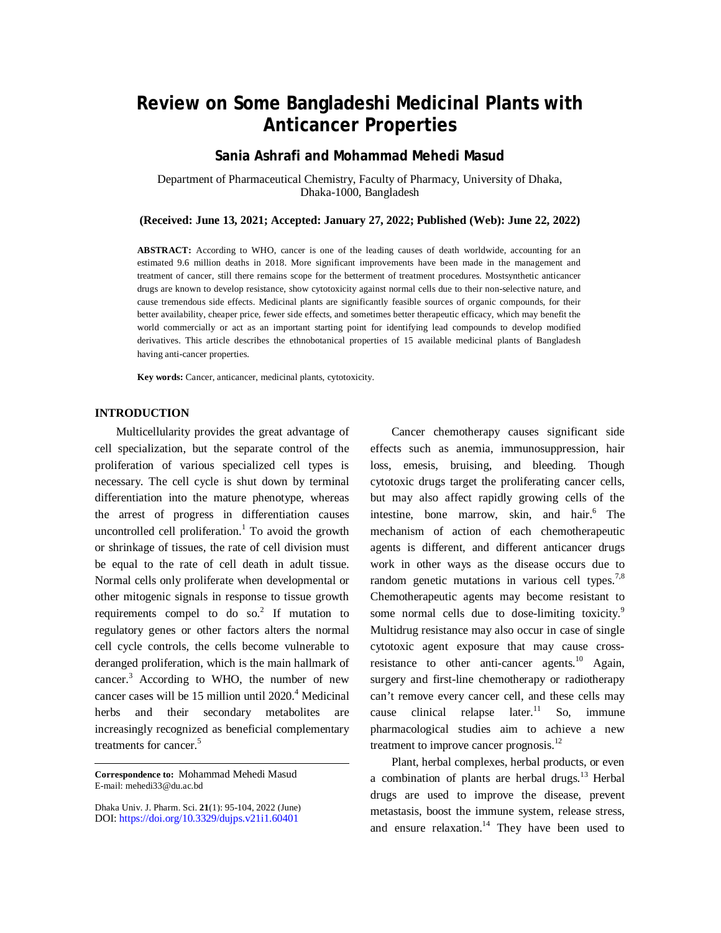# **Review on Some Bangladeshi Medicinal Plants with Anticancer Properties**

# **Sania Ashrafi and Mohammad Mehedi Masud**

Department of Pharmaceutical Chemistry, Faculty of Pharmacy, University of Dhaka, Dhaka-1000, Bangladesh

# **(Received: June 13, 2021; Accepted: January 27, 2022; Published (Web): June 22, 2022)**

**ABSTRACT:** According to WHO, cancer is one of the leading causes of death worldwide, accounting for an estimated 9.6 million deaths in 2018. More significant improvements have been made in the management and treatment of cancer, still there remains scope for the betterment of treatment procedures. Mostsynthetic anticancer drugs are known to develop resistance, show cytotoxicity against normal cells due to their non-selective nature, and cause tremendous side effects. Medicinal plants are significantly feasible sources of organic compounds, for their better availability, cheaper price, fewer side effects, and sometimes better therapeutic efficacy, which may benefit the world commercially or act as an important starting point for identifying lead compounds to develop modified derivatives. This article describes the ethnobotanical properties of 15 available medicinal plants of Bangladesh having anti-cancer properties.

**Key words:** Cancer, anticancer, medicinal plants, cytotoxicity.

#### **INTRODUCTION**

Multicellularity provides the great advantage of cell specialization, but the separate control of the proliferation of various specialized cell types is necessary. The cell cycle is shut down by terminal differentiation into the mature phenotype, whereas the arrest of progress in differentiation causes uncontrolled cell proliferation. <sup>1</sup> To avoid the growth or shrinkage of tissues, the rate of cell division must be equal to the rate of cell death in adult tissue. Normal cells only proliferate when developmental or other mitogenic signals in response to tissue growth requirements compel to do so.<sup>2</sup> If mutation to regulatory genes or other factors alters the normal cell cycle controls, the cells become vulnerable to deranged proliferation, which is the main hallmark of cancer.<sup>3</sup> According to WHO, the number of new cancer cases will be 15 million until 2020.<sup>4</sup> Medicinal herbs and their secondary metabolites increasingly recognized as beneficial complementary treatments for cancer.<sup>5</sup>

**Correspondence to:** Mohammad Mehedi Masud E-mail: [mehedi33@du.ac.bd](mailto:mehedi33@du.ac.bd)

Dhaka Univ. J. Pharm. Sci. **21**(1): 95-104, 2022 (June) DOI:<https://doi.org/10.3329/dujps.v21i1.60401>

Cancer chemotherapy causes significant side effects such as anemia, immunosuppression, hair loss, emesis, bruising, and bleeding. Though cytotoxic drugs target the proliferating cancer cells, but may also affect rapidly growing cells of the intestine, bone marrow, skin, and hair. $6$  The mechanism of action of each chemotherapeutic agents is different, and different anticancer drugs work in other ways as the disease occurs due to random genetic mutations in various cell types.<sup>7,8</sup> Chemotherapeutic agents may become resistant to some normal cells due to dose-limiting toxicity.<sup>9</sup> Multidrug resistance may also occur in case of single cytotoxic agent exposure that may cause crossresistance to other anti-cancer agents.<sup>10</sup> Again, surgery and first-line chemotherapy or radiotherapy can't remove every cancer cell, and these cells may cause clinical relapse later.<sup>11</sup> So, immune pharmacological studies aim to achieve a new treatment to improve cancer prognosis.<sup>12</sup>

Plant, herbal complexes, herbal products, or even a combination of plants are herbal drugs. $13$  Herbal drugs are used to improve the disease, prevent metastasis, boost the immune system, release stress, and ensure relaxation. $14$  They have been used to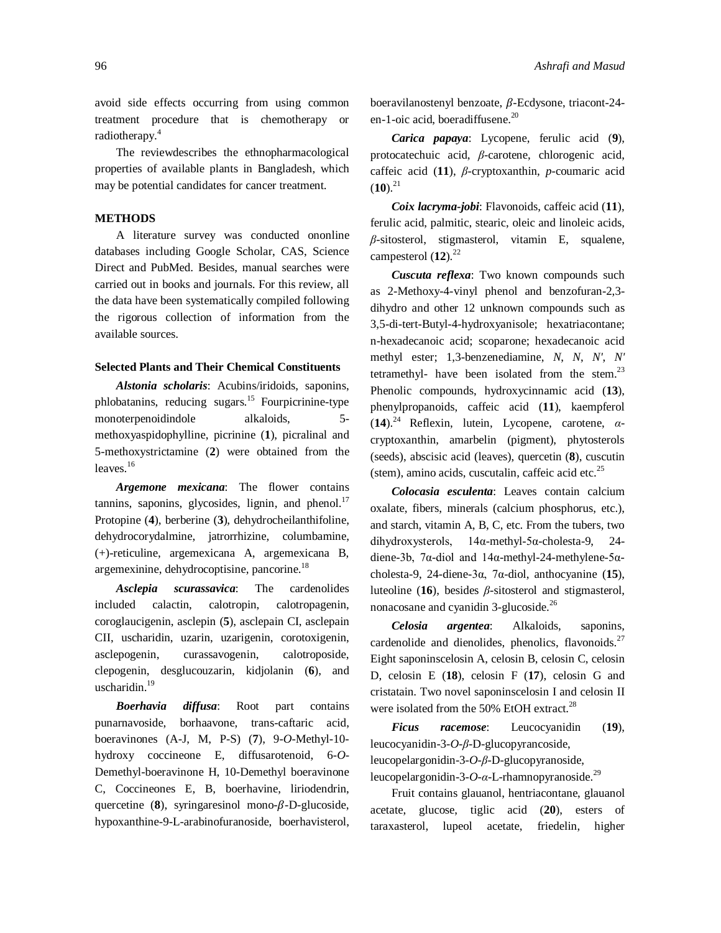96 *Ashrafi and Masud*

avoid side effects occurring from using common treatment procedure that is chemotherapy or radiotherapy.<sup>4</sup>

The reviewdescribes the ethnopharmacological properties of available plants in Bangladesh, which may be potential candidates for cancer treatment.

# **METHODS**

A literature survey was conducted ononline databases including Google Scholar, CAS, Science Direct and PubMed. Besides, manual searches were carried out in books and journals. For this review, all the data have been systematically compiled following the rigorous collection of information from the available sources.

#### **Selected Plants and Their Chemical Constituents**

*Alstonia scholaris*: Acubins/iridoids, saponins, phlobatanins, reducing sugars.<sup>15</sup> Fourpicrinine-type monoterpenoidindole alkaloids, 5 methoxyaspidophylline, picrinine (**1**), picralinal and 5-methoxystrictamine (**2**) were obtained from the leaves.<sup>16</sup>

*Argemone mexicana*: The flower contains tannins, saponins, glycosides, lignin, and phenol. $17$ Protopine (**4**), berberine (**3**), dehydrocheilanthifoline, dehydrocorydalmine, jatrorrhizine, columbamine, (+)-reticuline, argemexicana A, argemexicana B, argemexinine, dehydrocoptisine, pancorine.<sup>18</sup>

*Asclepia scurassavica*: The cardenolides included calactin, calotropin, calotropagenin, coroglaucigenin, asclepin (**5**), asclepain CI, asclepain CII, uscharidin, uzarin, uzarigenin, corotoxigenin, asclepogenin, curassavogenin, calotroposide, clepogenin, desglucouzarin, kidjolanin (**6**), and uscharidin. $19$ 

*Boerhavia diffusa*: Root part contains punarnavoside, borhaavone, trans-caftaric acid, boeravinones (A-J, M, P-S) (**7**), 9-*O*-Methyl-10 hydroxy coccineone E, diffusarotenoid, 6-*O*-Demethyl-boeravinone H, 10-Demethyl boeravinone C, Coccineones E, B, boerhavine, liriodendrin, quercetine  $(8)$ , syringaresinol mono- $\beta$ -D-glucoside, hypoxanthine-9-L-arabinofuranoside, boerhavisterol, boeravilanostenyl benzoate,  $\beta$ -Ecdysone, triacont-24en-1-oic acid, boeradiffusene.<sup>20</sup>

*Carica papaya*: Lycopene, ferulic acid (**9**), protocatechuic acid, *β*-carotene, chlorogenic acid, caffeic acid (**11**), *β*-cryptoxanthin, *p*-coumaric acid  $(10).^{21}$ 

*Coix lacryma-jobi*: Flavonoids, caffeic acid (**11**), ferulic acid, palmitic, stearic, oleic and linoleic acids, *β*-sitosterol, stigmasterol, vitamin E, squalene, campesterol (**12**). 22

*Cuscuta reflexa*: Two known compounds such as 2-Methoxy-4-vinyl phenol and benzofuran-2,3 dihydro and other 12 unknown compounds such as 3,5-di-tert-Butyl-4-hydroxyanisole; hexatriacontane; n-hexadecanoic acid; scoparone; hexadecanoic acid methyl ester; 1,3-benzenediamine, *N*, *N*, *N'*, *N'* tetramethyl- have been isolated from the stem. $^{23}$ Phenolic compounds, hydroxycinnamic acid (**13**), phenylpropanoids, caffeic acid (**11**), kaempferol (**14**). <sup>24</sup> Reflexin, lutein, Lycopene, carotene, *α*cryptoxanthin, amarbelin (pigment), phytosterols (seeds), abscisic acid (leaves), quercetin (**8**), cuscutin (stem), amino acids, cuscutalin, caffeic acid etc.<sup>25</sup>

*Colocasia esculenta*: Leaves contain calcium oxalate, fibers, minerals (calcium phosphorus, etc.), and starch, vitamin A, B, C, etc. From the tubers, two dihydroxysterols, 14α-methyl-5α-cholesta-9, 24 diene-3b, 7α-diol and 14α-methyl-24-methylene-5αcholesta-9, 24-diene-3α, 7α-diol, anthocyanine (**15**), luteoline (**16**), besides *β*-sitosterol and stigmasterol, nonacosane and cyanidin 3-glucoside.<sup>26</sup>

*Celosia argentea*: Alkaloids, saponins, cardenolide and dienolides, phenolics, flavonoids.<sup>27</sup> Eight saponinscelosin A, celosin B, celosin C, celosin D, celosin E (**18**), celosin F (**17**), celosin G and cristatain. Two novel saponinscelosin I and celosin II were isolated from the 50% EtOH extract.<sup>28</sup>

*Ficus racemose*: Leucocyanidin (**19**), leucocyanidin-3-*O*-*β*-D-glucopyrancoside, leucopelargonidin-3-*O*-*β*-D-glucopyranoside, leucopelargonidin-3-*O-α*-L-rhamnopyranoside.<sup>29</sup>

Fruit contains glauanol, hentriacontane, glauanol acetate, glucose, tiglic acid (**20**), esters of taraxasterol, lupeol acetate, friedelin, higher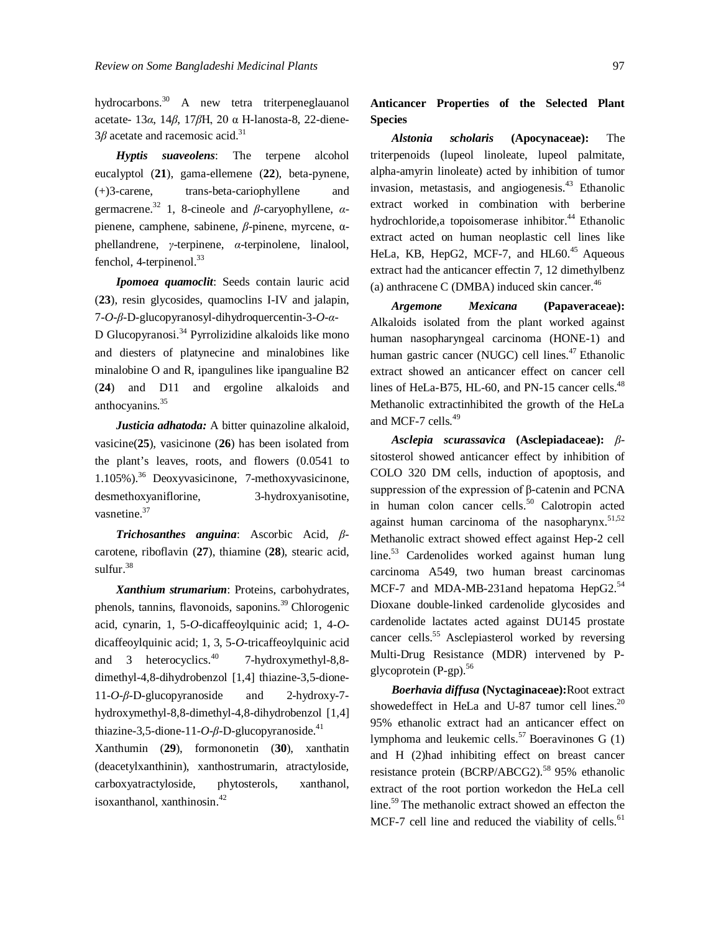hydrocarbons.<sup>30</sup> A new tetra triterpeneglauanol acetate- 13*α*, 14*β*, 17*β*H, 20 α H-lanosta-8, 22-diene-3*β* acetate and racemosic acid.<sup>31</sup>

*Hyptis suaveolens*: The terpene alcohol eucalyptol (**21**), gama-ellemene (**22**), beta-pynene, (+)3-carene, trans-beta-cariophyllene and germacrene.<sup>32</sup> 1, 8-cineole and *β*-caryophyllene, *α*pienene, camphene, sabinene, *β*-pinene, myrcene, αphellandrene, *γ*-terpinene, *α*-terpinolene, linalool, fenchol, 4-terpinenol.<sup>33</sup>

*Ipomoea quamoclit*: Seeds contain lauric acid (**23**), resin glycosides, quamoclins I-IV and jalapin, 7-*O*-*β*-D-glucopyranosyl-dihydroquercentin-3-*O*-*α*-D Glucopyranosi.<sup>34</sup> Pyrrolizidine alkaloids like mono and diesters of platynecine and minalobines like minalobine O and R, ipangulines like ipangualine B2 (**24**) and D11 and ergoline alkaloids and anthocyanins.<sup>35</sup>

*Justicia adhatoda:* A bitter quinazoline alkaloid, vasicine(**25**), vasicinone (**26**) has been isolated from the plant's leaves, roots, and flowers (0.0541 to 1.105%).<sup>36</sup> Deoxyvasicinone, 7-methoxyvasicinone, desmethoxyaniflorine, 3-hydroxyanisotine, vasnetine.<sup>37</sup>

*Trichosanthes anguina*: Ascorbic Acid, *β*carotene, riboflavin (**27**), thiamine (**28**), stearic acid, sulfur. 38

*Xanthium strumarium*: Proteins, carbohydrates, phenols, tannins, flavonoids, saponins.<sup>39</sup> Chlorogenic acid, cynarin, 1, 5-*O*-dicaffeoylquinic acid; 1, 4-*O*dicaffeoylquinic acid; 1, 3, 5-*O*-tricaffeoylquinic acid and 3 heterocyclics. $40$ 7-hydroxymethyl-8,8 dimethyl-4,8-dihydrobenzol [1,4] thiazine-3,5-dione-11-*O*-*β*-D-glucopyranoside and 2-hydroxy-7 hydroxymethyl-8,8-dimethyl-4,8-dihydrobenzol [1,4] thiazine-3,5-dione-11- $O$ - $\beta$ -D-glucopyranoside.<sup>41</sup>

Xanthumin (**29**), formononetin (**30**), xanthatin (deacetylxanthinin), xanthostrumarin, atractyloside, carboxyatractyloside, phytosterols, xanthanol, isoxanthanol, xanthinosin.<sup>42</sup>

# **Anticancer Properties of the Selected Plant Species**

*Alstonia scholaris* **(Apocynaceae):** The triterpenoids (lupeol linoleate, lupeol palmitate, alpha-amyrin linoleate) acted by inhibition of tumor invasion, metastasis, and angiogenesis.<sup>43</sup> Ethanolic extract worked in combination with berberine hydrochloride,a topoisomerase inhibitor.<sup>44</sup> Ethanolic extract acted on human neoplastic cell lines like HeLa, KB, HepG2, MCF-7, and HL60.<sup>45</sup> Aqueous extract had the anticancer effectin 7, 12 dimethylbenz (a) anthracene C (DMBA) induced skin cancer. $46$ 

*Argemone Mexicana* **(Papaveraceae):**  Alkaloids isolated from the plant worked against human nasopharyngeal carcinoma (HONE-1) and human gastric cancer (NUGC) cell lines. $47$  Ethanolic extract showed an anticancer effect on cancer cell lines of HeLa-B75, HL-60, and PN-15 cancer cells.<sup>48</sup> Methanolic extractinhibited the growth of the HeLa and MCF-7 cells.<sup>49</sup>

*Asclepia scurassavica* **(Asclepiadaceae):** *β*sitosterol showed anticancer effect by inhibition of COLO 320 DM cells, induction of apoptosis, and suppression of the expression of β-catenin and PCNA in human colon cancer cells.<sup>50</sup> Calotropin acted against human carcinoma of the nasopharynx. $51,52$ Methanolic extract showed effect against Hep-2 cell line.<sup>53</sup> Cardenolides worked against human lung carcinoma A549, two human breast carcinomas MCF-7 and MDA-MB-231and hepatoma HepG2.<sup>54</sup> Dioxane double-linked cardenolide glycosides and cardenolide lactates acted against DU145 prostate cancer cells.<sup>55</sup> Asclepiasterol worked by reversing Multi-Drug Resistance (MDR) intervened by Pglycoprotein (P-gp).<sup>56</sup>

*Boerhavia diffusa* **(Nyctaginaceae):**Root extract showedeffect in HeLa and U-87 tumor cell lines. $20$ 95% ethanolic extract had an anticancer effect on lymphoma and leukemic cells.<sup>57</sup> Boeravinones G  $(1)$ and H (2)had inhibiting effect on breast cancer resistance protein (BCRP/ABCG2).<sup>58</sup> 95% ethanolic extract of the root portion workedon the HeLa cell line.<sup>59</sup> The methanolic extract showed an effecton the MCF-7 cell line and reduced the viability of cells.<sup>61</sup>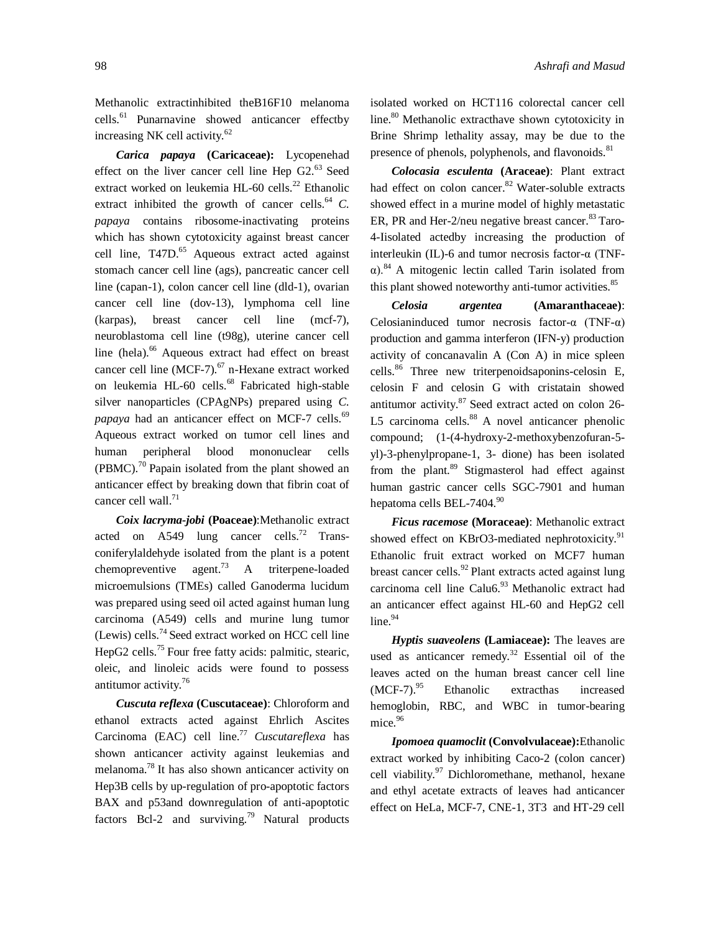Methanolic extractinhibited theB16F10 melanoma cells. 61 Punarnavine showed anticancer effectby increasing NK cell activity.<sup>62</sup>

*Carica papaya* **(Caricaceae):** Lycopenehad effect on the liver cancer cell line Hep G2.<sup>63</sup> Seed extract worked on leukemia HL-60 cells.<sup>22</sup> Ethanolic extract inhibited the growth of cancer cells.<sup>64</sup>  $C$ . *papaya* contains ribosome-inactivating proteins which has shown cytotoxicity against breast cancer cell line, T47D.<sup>65</sup> Aqueous extract acted against stomach cancer cell line (ags), pancreatic cancer cell line (capan-1), colon cancer cell line (dld-1), ovarian cancer cell line (dov-13), lymphoma cell line (karpas), breast cancer cell line (mcf-7), neuroblastoma cell line (t98g), uterine cancer cell line (hela).<sup>66</sup> Aqueous extract had effect on breast cancer cell line (MCF-7).<sup>67</sup> n-Hexane extract worked on leukemia HL-60 cells.<sup>68</sup> Fabricated high-stable silver nanoparticles (CPAgNPs) prepared using *C.*  papaya had an anticancer effect on MCF-7 cells.<sup>69</sup> Aqueous extract worked on tumor cell lines and human peripheral blood mononuclear cells  $(PBMC)$ .<sup>70</sup> Papain isolated from the plant showed an anticancer effect by breaking down that fibrin coat of cancer cell wall.<sup>71</sup>

*Coix lacryma-jobi* **(Poaceae)**:Methanolic extract acted on  $A549$  lung cancer cells.<sup>72</sup> Transconiferylaldehyde isolated from the plant is a potent chemopreventive agent.<sup>73</sup> A triterpene-loaded microemulsions (TMEs) called Ganoderma lucidum was prepared using seed oil acted against human lung carcinoma (A549) cells and murine lung tumor (Lewis) cells.<sup>74</sup> Seed extract worked on HCC cell line HepG2 cells.<sup>75</sup> Four free fatty acids: palmitic, stearic, oleic, and linoleic acids were found to possess antitumor activity.<sup>76</sup>

*Cuscuta reflexa* **(Cuscutaceae)**: Chloroform and ethanol extracts acted against Ehrlich Ascites Carcinoma (EAC) cell line. <sup>77</sup> *Cuscutareflexa* has shown anticancer activity against leukemias and melanoma.<sup>78</sup> It has also shown anticancer activity on Hep3B cells by up-regulation of pro-apoptotic factors BAX and p53and downregulation of anti-apoptotic factors Bcl-2 and surviving.<sup>79</sup> Natural products

isolated worked on HCT116 colorectal cancer cell line.<sup>80</sup> Methanolic extracthave shown cytotoxicity in Brine Shrimp lethality assay, may be due to the presence of phenols, polyphenols, and flavonoids.<sup>81</sup>

*Colocasia esculenta* **(Araceae)**: Plant extract had effect on colon cancer.<sup>82</sup> Water-soluble extracts showed effect in a murine model of highly metastatic ER, PR and Her-2/neu negative breast cancer. $83$  Taro-4-Iisolated actedby increasing the production of interleukin (IL)-6 and tumor necrosis factor-α (TNFα).<sup>84</sup> A mitogenic lectin called Tarin isolated from this plant showed noteworthy anti-tumor activities.<sup>85</sup>

*Celosia argentea* **(Amaranthaceae)**: Celosianinduced tumor necrosis factor-α (TNF-α) production and gamma interferon (IFN-y) production activity of concanavalin A (Con A) in mice spleen cells.<sup>86</sup> Three new triterpenoidsaponins-celosin E, celosin F and celosin G with cristatain showed antitumor activity.<sup>87</sup> Seed extract acted on colon 26-L5 carcinoma cells. $88$  A novel anticancer phenolic compound; (1-(4-hydroxy-2-methoxybenzofuran-5 yl)-3-phenylpropane-1, 3- dione) has been isolated from the plant.<sup>89</sup> Stigmasterol had effect against human gastric cancer cells SGC-7901 and human hepatoma cells BEL-7404.<sup>90</sup>

*Ficus racemose* **(Moraceae)**: Methanolic extract showed effect on KBrO3-mediated nephrotoxicity.<sup>91</sup> Ethanolic fruit extract worked on MCF7 human breast cancer cells.<sup>92</sup> Plant extracts acted against lung carcinoma cell line Calu6.<sup>93</sup> Methanolic extract had an anticancer effect against HL-60 and HepG2 cell  $line.94$ 

*Hyptis suaveolens* **(Lamiaceae):** The leaves are used as anticancer remedy.<sup>32</sup> Essential oil of the leaves acted on the human breast cancer cell line  $(MCF-7).^{95}$ Ethanolic extracthas increased hemoglobin, RBC, and WBC in tumor-bearing mice.<sup>96</sup>

*Ipomoea quamoclit* **(Convolvulaceae):**Ethanolic extract worked by inhibiting Caco-2 (colon cancer) cell viability.<sup>97</sup> Dichloromethane, methanol, hexane and ethyl acetate extracts of leaves had anticancer effect on HeLa, MCF-7, CNE-1, 3T3 and HT-29 cell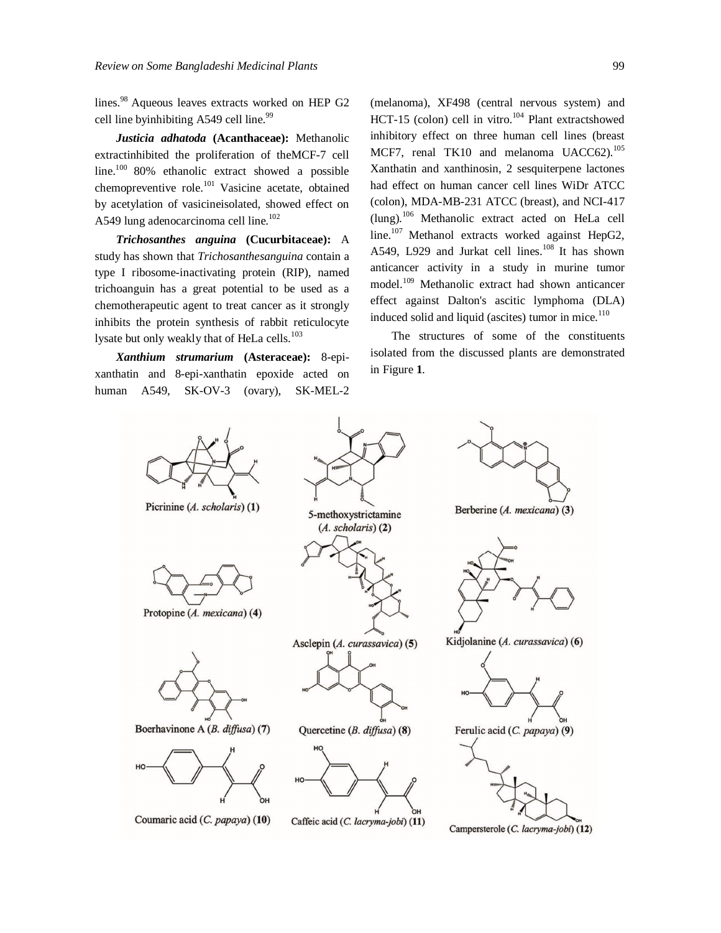lines.<sup>98</sup> Aqueous leaves extracts worked on HEP G2 cell line byinhibiting A549 cell line.<sup>99</sup>

*Justicia adhatoda* **(Acanthaceae):** Methanolic extractinhibited the proliferation of theMCF-7 cell line.<sup>100</sup> 80% ethanolic extract showed a possible chemopreventive role.<sup>101</sup> Vasicine acetate, obtained by acetylation of vasicineisolated, showed effect on A549 lung adenocarcinoma cell line.<sup>102</sup>

*Trichosanthes anguina* **(Cucurbitaceae):** A study has shown that *Trichosanthesanguina* contain a type I ribosome-inactivating protein (RIP), named trichoanguin has a great potential to be used as a chemotherapeutic agent to treat cancer as it strongly inhibits the protein synthesis of rabbit reticulocyte lysate but only weakly that of HeLa cells.<sup>103</sup>

*Xanthium strumarium* **(Asteraceae):** 8-epixanthatin and 8-epi-xanthatin epoxide acted on human A549, SK-OV-3 (ovary), SK-MEL-2 (melanoma), XF498 (central nervous system) and HCT-15 (colon) cell in vitro.<sup>104</sup> Plant extractshowed inhibitory effect on three human cell lines (breast MCF7, renal TK10 and melanoma UACC62).<sup>105</sup> Xanthatin and xanthinosin, 2 sesquiterpene lactones had effect on human cancer cell lines WiDr ATCC (colon), MDA-MB-231 ATCC (breast), and NCI-417 (lung).<sup>106</sup> Methanolic extract acted on HeLa cell line.<sup>107</sup> Methanol extracts worked against HepG2, A549, L929 and Jurkat cell lines. $108$  It has shown anticancer activity in a study in murine tumor model.<sup>109</sup> Methanolic extract had shown anticancer effect against Dalton's ascitic lymphoma (DLA) induced solid and liquid (ascites) tumor in mice.<sup>110</sup>

The structures of some of the constituents isolated from the discussed plants are demonstrated in Figure **1**.

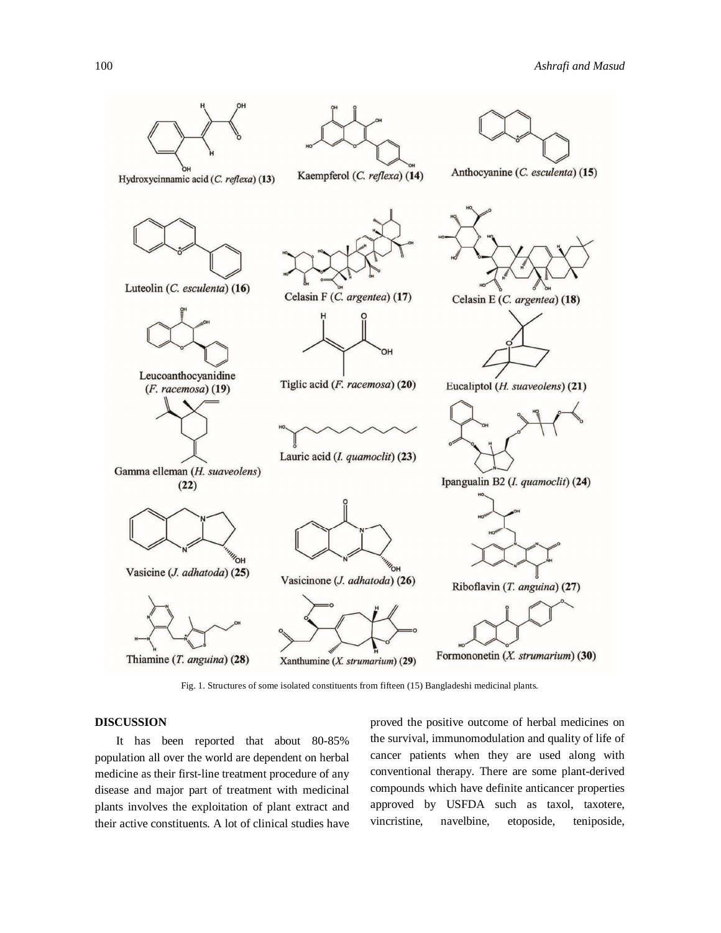

Fig. 1. Structures of some isolated constituents from fifteen (15) Bangladeshi medicinal plants.

## **DISCUSSION**

It has been reported that about 80-85% population all over the world are dependent on herbal medicine as their first-line treatment procedure of any disease and major part of treatment with medicinal plants involves the exploitation of plant extract and their active constituents. A lot of clinical studies have proved the positive outcome of herbal medicines on the survival, immunomodulation and quality of life of cancer patients when they are used along with conventional therapy. There are some plant-derived compounds which have definite anticancer properties approved by USFDA such as taxol, taxotere, vincristine, navelbine, etoposide, teniposide,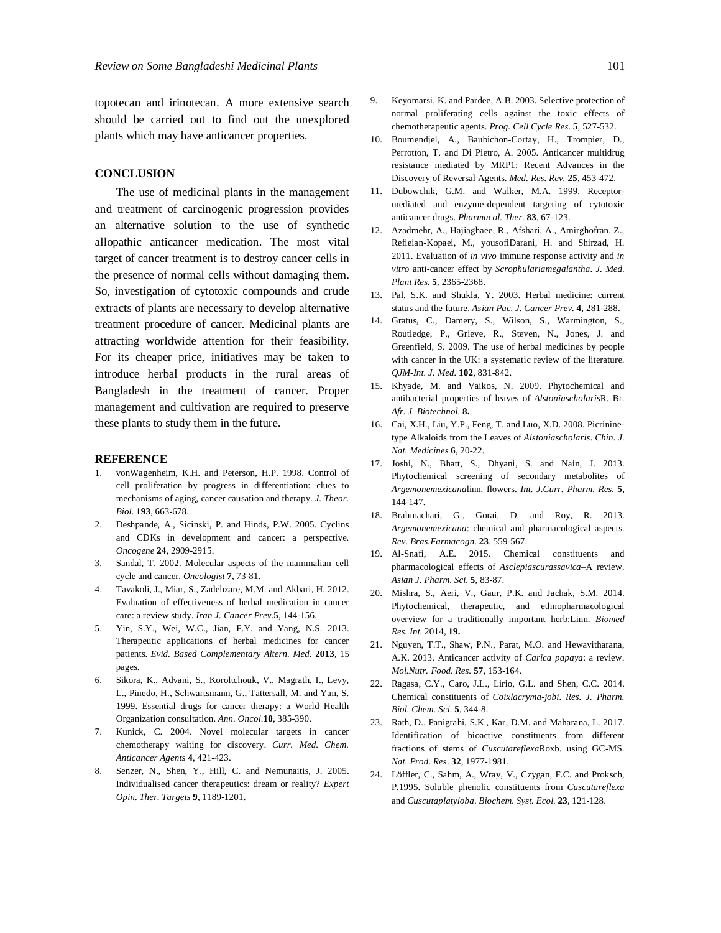topotecan and irinotecan. A more extensive search should be carried out to find out the unexplored plants which may have anticancer properties.

## **CONCLUSION**

The use of medicinal plants in the management and treatment of carcinogenic progression provides an alternative solution to the use of synthetic allopathic anticancer medication. The most vital target of cancer treatment is to destroy cancer cells in the presence of normal cells without damaging them. So, investigation of cytotoxic compounds and crude extracts of plants are necessary to develop alternative treatment procedure of cancer. Medicinal plants are attracting worldwide attention for their feasibility. For its cheaper price, initiatives may be taken to introduce herbal products in the rural areas of Bangladesh in the treatment of cancer. Proper management and cultivation are required to preserve these plants to study them in the future.

#### **REFERENCE**

- 1. vonWagenheim, K.H. and Peterson, H.P. 1998. Control of cell proliferation by progress in differentiation: clues to mechanisms of aging, cancer causation and therapy. *J. Theor. Biol.* **193**, 663-678.
- 2. Deshpande, A., Sicinski, P. and Hinds, P.W. 2005. Cyclins and CDKs in development and cancer: a perspective. *Oncogene* **24**, 2909-2915.
- 3. Sandal, T. 2002. Molecular aspects of the mammalian cell cycle and cancer. *Oncologist* **7**, 73-81.
- 4. Tavakoli, J., Miar, S., Zadehzare, M.M. and Akbari, H. 2012. Evaluation of effectiveness of herbal medication in cancer care: a review study*. Iran J. Cancer Prev.***5**, 144-156.
- 5. Yin, S.Y., Wei, W.C., Jian, F.Y. and Yang, N.S. 2013. Therapeutic applications of herbal medicines for cancer patients. *Evid. Based Complementary Altern. Med.* **2013**, 15 pages.
- 6. Sikora, K., Advani, S., Koroltchouk, V., Magrath, I., Levy, L., Pinedo, H., Schwartsmann, G., Tattersall, M. and Yan, S. 1999. Essential drugs for cancer therapy: a World Health Organization consultation. *Ann. Oncol.***10**, 385-390.
- 7. Kunick, C. 2004. Novel molecular targets in cancer chemotherapy waiting for discovery. *Curr. Med. Chem. Anticancer Agents* **4**, 421-423.
- Senzer, N., Shen, Y., Hill, C. and Nemunaitis, J. 2005. Individualised cancer therapeutics: dream or reality? *Expert Opin. Ther. Targets* **9**, 1189-1201.
- 9. Keyomarsi, K. and Pardee, A.B. 2003. Selective protection of normal proliferating cells against the toxic effects of chemotherapeutic agents. *Prog. Cell Cycle Res.* **5**, 527-532.
- 10. Boumendjel, A., Baubichon‐Cortay, H., Trompier, D., Perrotton, T. and Di Pietro, A. 2005. Anticancer multidrug resistance mediated by MRP1: Recent Advances in the Discovery of Reversal Agents. *Med. Res. Rev.* **25**, 453-472.
- 11. Dubowchik, G.M. and Walker, M.A. 1999. Receptormediated and enzyme-dependent targeting of cytotoxic anticancer drugs. *Pharmacol. Ther.* **83**, 67-123.
- 12. Azadmehr, A., Hajiaghaee, R., Afshari, A., Amirghofran, Z., Refieian-Kopaei, M., yousofiDarani, H. and Shirzad, H. 2011. Evaluation of *in vivo* immune response activity and *in vitro* anti-cancer effect by *Scrophulariamegalantha*. *J. Med. Plant Res.* **5**, 2365-2368.
- 13. Pal, S.K. and Shukla, Y. 2003. Herbal medicine: current status and the future. *Asian Pac. J. Cancer Prev.* **4**, 281-288.
- 14. Gratus, C., Damery, S., Wilson, S., Warmington, S., Routledge, P., Grieve, R., Steven, N., Jones, J. and Greenfield, S. 2009. The use of herbal medicines by people with cancer in the UK: a systematic review of the literature. *QJM-Int. J. Med.* **102**, 831-842.
- 15. Khyade, M. and Vaikos, N. 2009. Phytochemical and antibacterial properties of leaves of *Alstoniascholaris*R. Br. *Afr. J. Biotechnol.* **8.**
- 16. Cai, X.H., Liu, Y.P., Feng, T. and Luo, X.D. 2008. Picrininetype Alkaloids from the Leaves of *Alstoniascholaris*. *Chin. J. Nat. Medicines* **6**, 20-22.
- 17. Joshi, N., Bhatt, S., Dhyani, S. and Nain, J. 2013. Phytochemical screening of secondary metabolites of *Argemonemexicana*linn. flowers. *Int. J.Curr. Pharm. Res.* **5**, 144-147.
- 18. Brahmachari, G., Gorai, D. and Roy, R. 2013. *Argemonemexicana*: chemical and pharmacological aspects. *Rev. Bras.Farmacogn.* **23**, 559-567.
- 19. Al-Snafi, A.E. 2015. Chemical constituents and pharmacological effects of *Asclepiascurassavica*–A review. *Asian J. Pharm. Sci.* **5**, 83-87.
- 20. Mishra, S., Aeri, V., Gaur, P.K. and Jachak, S.M. 2014. Phytochemical, therapeutic, and ethnopharmacological overview for a traditionally important herb:Linn. *Biomed Res. Int.* 2014, **19.**
- 21. Nguyen, T.T., Shaw, P.N., Parat, M.O. and Hewavitharana, A.K. 2013. Anticancer activity of *Carica papaya*: a review. *Mol.Nutr. Food. Res.* **57**, 153-164.
- 22. Ragasa, C.Y., Caro, J.L., Lirio, G.L. and Shen, C.C. 2014. Chemical constituents of *Coixlacryma-jobi*. *Res. J. Pharm. Biol. Chem. Sci.* **5**, 344-8.
- 23. Rath, D., Panigrahi, S.K., Kar, D.M. and Maharana, L. 2017. Identification of bioactive constituents from different fractions of stems of *Cuscutareflexa*Roxb. using GC-MS. *Nat. Prod. Res*. **32**, 1977-1981.
- 24. Löffler, C., Sahm, A., Wray, V., Czygan, F.C. and Proksch, P.1995. Soluble phenolic constituents from *Cuscutareflexa* and *Cuscutaplatyloba*. *Biochem. Syst. Ecol.* **23**, 121-128.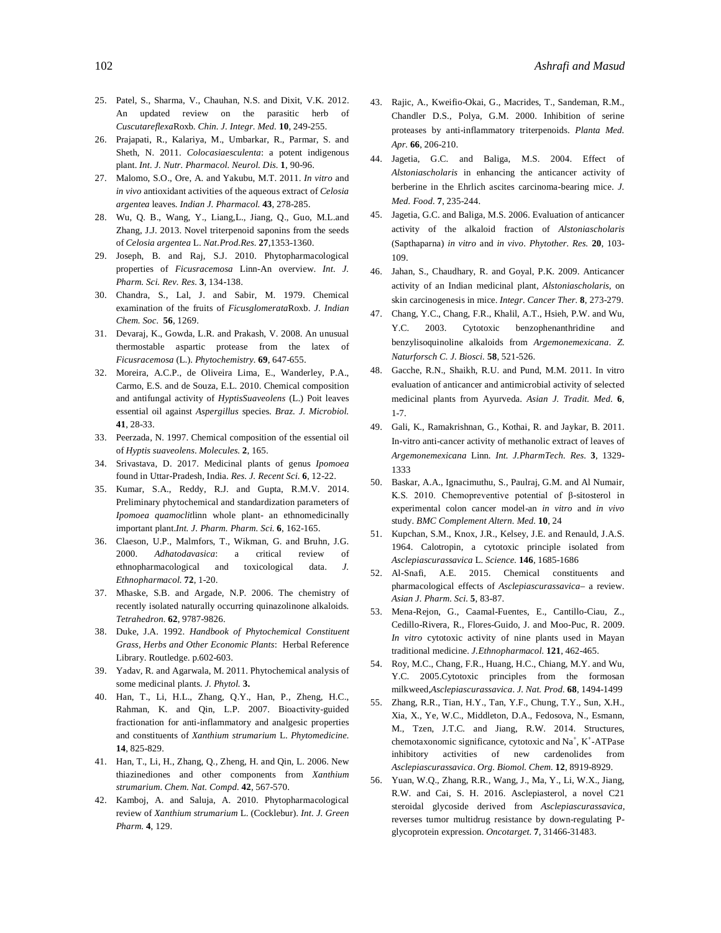- 25. Patel, S., Sharma, V., Chauhan, N.S. and Dixit, V.K. 2012. An updated review on the parasitic herb of *Cuscutareflexa*Roxb. *Chin. J. Integr. Med.* **10**, 249-255.
- 26. Prajapati, R., Kalariya, M., Umbarkar, R., Parmar, S. and Sheth, N. 2011. *Colocasiaesculenta*: a potent indigenous plant. *Int. J. Nutr. Pharmacol. Neurol. Dis.* **1**, 90-96.
- 27. Malomo, S.O., Ore, A. and Yakubu, M.T. 2011. *In vitro* and *in vivo* antioxidant activities of the aqueous extract of *Celosia argentea* leaves. *Indian J. Pharmacol.* **43**, 278-285.
- 28. Wu, Q. B., Wang, Y., Liang,L., Jiang, Q., Guo, M.L.and Zhang, J.J. 2013. Novel triterpenoid saponins from the seeds of *Celosia argentea* L. *Nat.Prod.Res.* **27**,1353-1360.
- 29. Joseph, B. and Raj, S.J. 2010. Phytopharmacological properties of *Ficusracemosa* Linn-An overview. *Int. J. Pharm. Sci. Rev. Res.* **3**, 134-138.
- 30. Chandra, S., Lal, J. and Sabir, M. 1979. Chemical examination of the fruits of *Ficusglomerata*Roxb. *J. Indian Chem. Soc.* **56**, 1269.
- 31. Devaraj, K., Gowda, L.R. and Prakash, V. 2008. An unusual thermostable aspartic protease from the latex of *Ficusracemosa* (L.). *Phytochemistry.* **69**, 647-655.
- 32. Moreira, A.C.P., de Oliveira Lima, E., Wanderley, P.A., Carmo, E.S. and de Souza, E.L. 2010. Chemical composition and antifungal activity of *HyptisSuaveolens* (L.) Poit leaves essential oil against *Aspergillus* species. *Braz. J. Microbiol.*  **41**, 28-33.
- 33. Peerzada, N. 1997. Chemical composition of the essential oil of *Hyptis suaveolens*. *Molecules.* **2**, 165.
- 34. Srivastava, D. 2017. Medicinal plants of genus *Ipomoea* found in Uttar-Pradesh, India. *Res. J. Recent Sci.* **6**, 12-22.
- 35. Kumar, S.A., Reddy, R.J. and Gupta, R.M.V. 2014. Preliminary phytochemical and standardization parameters of *Ipomoea quamoclit*linn whole plant- an ethnomedicinally important plant.*Int. J. Pharm. Pharm. Sci.* **6**, 162-165.
- 36. Claeson, U.P., Malmfors, T., Wikman, G. and Bruhn, J.G. 2000. *Adhatodavasica*: a critical review of ethnopharmacological and toxicological data. *J. Ethnopharmacol.* **72**, 1-20.
- 37. Mhaske, S.B. and Argade, N.P. 2006. The chemistry of recently isolated naturally occurring quinazolinone alkaloids. *Tetrahedron.* **62**, 9787-9826.
- 38. Duke, J.A. 1992. *Handbook of Phytochemical Constituent Grass, Herbs and Other Economic Plants*: Herbal Reference Library. Routledge. p.602-603.
- 39. Yadav, R. and Agarwala, M. 2011. Phytochemical analysis of some medicinal plants. *J. Phytol.* **3.**
- 40. Han, T., Li, H.L., Zhang, Q.Y., Han, P., Zheng, H.C., Rahman, K. and Qin, L.P. 2007. Bioactivity-guided fractionation for anti-inflammatory and analgesic properties and constituents of *Xanthium strumarium* L. *Phytomedicine.*  **14**, 825-829.
- 41. Han, T., Li, H., Zhang, Q., Zheng, H. and Qin, L. 2006. New thiazinediones and other components from *Xanthium strumarium*. *Chem. Nat. Compd.* **42**, 567-570.
- 42. Kamboj, A. and Saluja, A. 2010. Phytopharmacological review of *Xanthium strumarium* L. (Cocklebur). *Int. J. Green Pharm.* **4**, 129.
- 43. Rajic, A., Kweifio-Okai, G., Macrides, T., Sandeman, R.M., Chandler D.S., Polya, G.M. 2000. Inhibition of serine proteases by anti-inflammatory triterpenoids. *Planta Med. Apr.* **66**, 206-210.
- 44. Jagetia, G.C. and Baliga, M.S. 2004. Effect of *Alstoniascholaris* in enhancing the anticancer activity of berberine in the Ehrlich ascites carcinoma-bearing mice. *J. Med. Food.* **7**, 235-244.
- 45. Jagetia, G.C. and Baliga, M.S. 2006. Evaluation of anticancer activity of the alkaloid fraction of *Alstoniascholaris* (Sapthaparna) *in vitro* and *in vivo*. *Phytother. Res.* **20**, 103- 109.
- 46. Jahan, S., Chaudhary, R. and Goyal, P.K. 2009. Anticancer activity of an Indian medicinal plant, *Alstoniascholaris*, on skin carcinogenesis in mice. *Integr. Cancer Ther.* **8**, 273-279.
- 47. Chang, Y.C., Chang, F.R., Khalil, A.T., Hsieh, P.W. and Wu, Y.C. 2003. Cytotoxic benzophenanthridine and benzylisoquinoline alkaloids from *Argemonemexicana*. *Z. Naturforsch C. J. Biosci.* **58**, 521-526.
- 48. Gacche, R.N., Shaikh, R.U. and Pund, M.M. 2011. In vitro evaluation of anticancer and antimicrobial activity of selected medicinal plants from Ayurveda. *Asian J. Tradit. Med.* **6**, 1-7.
- 49. Gali, K., Ramakrishnan, G., Kothai, R. and Jaykar, B. 2011. In-vitro anti-cancer activity of methanolic extract of leaves of *Argemonemexicana* Linn. *Int. J.PharmTech. Res.* **3**, 1329- 1333
- 50. Baskar, A.A., Ignacimuthu, S., Paulraj, G.M. and Al Numair, K.S. 2010. Chemopreventive potential of β-sitosterol in experimental colon cancer model-an *in vitro* and *in vivo* study. *BMC Complement Altern. Med.* **10**, 24
- 51. Kupchan, S.M., Knox, J.R., Kelsey, J.E. and Renauld, J.A.S. 1964. Calotropin, a cytotoxic principle isolated from *Asclepiascurassavica* L. *Science.* **146**, 1685-1686
- 52. Al-Snafi, A.E. 2015. Chemical constituents and pharmacological effects of *Asclepiascurassavica*– a review. *Asian J. Pharm. Sci.* **5**, 83-87.
- 53. Mena-Rejon, G., Caamal-Fuentes, E., Cantillo-Ciau, Z., Cedillo-Rivera, R., Flores-Guido, J. and Moo-Puc, R. 2009. *In vitro* cytotoxic activity of nine plants used in Mayan traditional medicine. *J.Ethnopharmacol.* **121**, 462-465.
- 54. Roy, M.C., Chang, F.R., Huang, H.C., Chiang, M.Y. and Wu, Y.C. 2005.Cytotoxic principles from the formosan milkweed,*Asclepiascurassavica*. *J. Nat. Prod.* **68**, 1494-1499
- 55. Zhang, R.R., Tian, H.Y., Tan, Y.F., Chung, T.Y., Sun, X.H., Xia, X., Ye, W.C., Middleton, D.A., Fedosova, N., Esmann, M., Tzen, J.T.C. and Jiang, R.W. 2014. Structures, chemotaxonomic significance, cytotoxic and Na<sup>+</sup>, K<sup>+</sup>-ATPase inhibitory activities of new cardenolides from *Asclepiascurassavica*. *Org. Biomol. Chem.* **12**, 8919-8929.
- 56. Yuan, W.Q., Zhang, R.R., Wang, J., Ma, Y., Li, W.X., Jiang, R.W. and Cai, S. H. 2016. Asclepiasterol, a novel C21 steroidal glycoside derived from *Asclepiascurassavica*, reverses tumor multidrug resistance by down-regulating Pglycoprotein expression. *Oncotarget.* **7**, 31466-31483.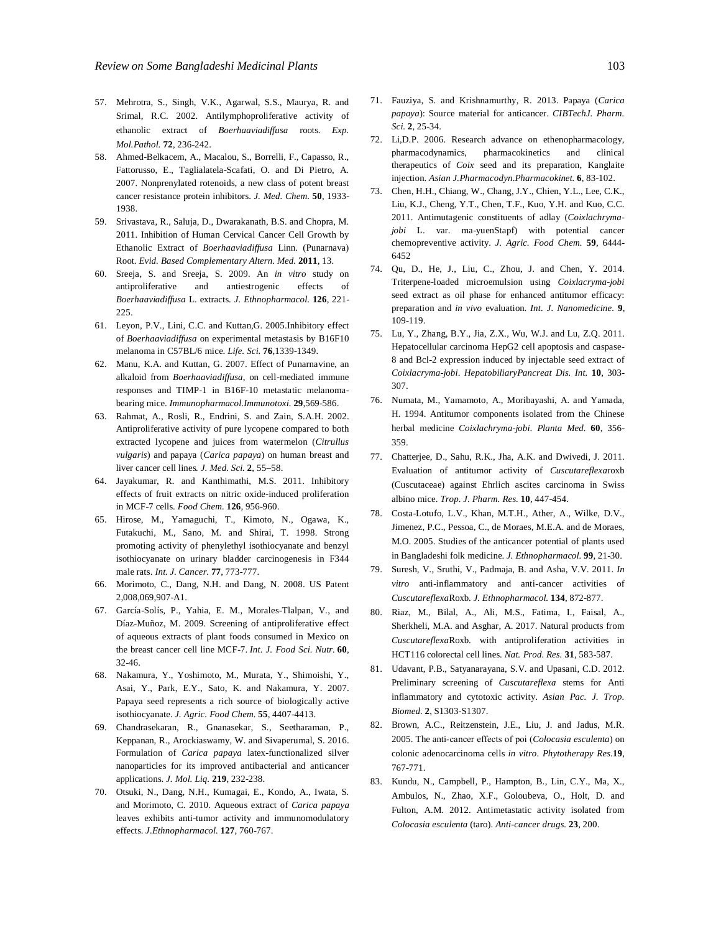- 57. Mehrotra, S., Singh, V.K., Agarwal, S.S., Maurya, R. and Srimal, R.C. 2002. Antilymphoproliferative activity of ethanolic extract of *Boerhaaviadiffusa* roots. *Exp. Mol.Pathol.* **72**, 236-242.
- 58. Ahmed-Belkacem, A., Macalou, S., Borrelli, F., Capasso, R., Fattorusso, E., Taglialatela-Scafati, O. and Di Pietro, A. 2007. Nonprenylated rotenoids, a new class of potent breast cancer resistance protein inhibitors. *J. Med. Chem.* **50**, 1933- 1938.
- 59. Srivastava, R., Saluja, D., Dwarakanath, B.S. and Chopra, M. 2011. Inhibition of Human Cervical Cancer Cell Growth by Ethanolic Extract of *Boerhaaviadiffusa* Linn. (Punarnava) Root. *Evid. Based Complementary Altern. Med.* **2011**, 13.
- 60. Sreeja, S. and Sreeja, S. 2009. An *in vitro* study on antiproliferative and antiestrogenic effects of *Boerhaaviadiffusa* L. extracts. *J. Ethnopharmacol.* **126**, 221- 225.
- 61. Leyon, P.V., Lini, C.C. and Kuttan,G. 2005.Inhibitory effect of *Boerhaaviadiffusa* on experimental metastasis by B16F10 melanoma in C57BL/6 mice. *Life. Sci.* **76**,1339-1349.
- 62. Manu, K.A. and Kuttan, G. 2007. Effect of Punarnavine, an alkaloid from *Boerhaaviadiffusa*, on cell-mediated immune responses and TIMP-1 in B16F-10 metastatic melanomabearing mice. *Immunopharmacol.Immunotoxi.* **29**,569-586.
- 63. Rahmat, A., Rosli, R., Endrini, S. and Zain, S.A.H. 2002. Antiproliferative activity of pure lycopene compared to both extracted lycopene and juices from watermelon (*Citrullus vulgaris*) and papaya (*Carica papaya*) on human breast and liver cancer cell lines*. J. Med. Sci.* **2**, 55–58.
- 64. Jayakumar, R. and Kanthimathi, M.S. 2011. Inhibitory effects of fruit extracts on nitric oxide-induced proliferation in MCF-7 cells. *Food Chem.* **126**, 956-960.
- 65. Hirose, M., Yamaguchi, T., Kimoto, N., Ogawa, K., Futakuchi, M., Sano, M. and Shirai, T. 1998. Strong promoting activity of phenylethyl isothiocyanate and benzyl isothiocyanate on urinary bladder carcinogenesis in F344 male rats. *Int. J. Cancer.* **77**, 773-777.
- 66. Morimoto, C., Dang, N.H. and Dang, N. 2008. US Patent 2,008,069,907-A1.
- 67. García-Solís, P., Yahia, E. M., Morales-Tlalpan, V., and Díaz-Muñoz, M. 2009. Screening of antiproliferative effect of aqueous extracts of plant foods consumed in Mexico on the breast cancer cell line MCF-7. *Int. J. Food Sci. Nutr.* **60**, 32-46.
- 68. Nakamura, Y., Yoshimoto, M., Murata, Y., Shimoishi, Y., Asai, Y., Park, E.Y., Sato, K. and Nakamura, Y. 2007. Papaya seed represents a rich source of biologically active isothiocyanate. *J. Agric. Food Chem.* **55**, 4407-4413.
- 69. Chandrasekaran, R., Gnanasekar, S., Seetharaman, P., Keppanan, R., Arockiaswamy, W. and Sivaperumal, S. 2016. Formulation of *Carica papaya* latex-functionalized silver nanoparticles for its improved antibacterial and anticancer applications. *J. Mol. Liq.* **219**, 232-238.
- 70. Otsuki, N., Dang, N.H., Kumagai, E., Kondo, A., Iwata, S. and Morimoto, C. 2010. Aqueous extract of *Carica papaya* leaves exhibits anti-tumor activity and immunomodulatory effects. *J.Ethnopharmacol.* **127**, 760-767.
- 71. Fauziya, S. and Krishnamurthy, R. 2013. Papaya (*Carica papaya*): Source material for anticancer. *CIBTechJ. Pharm. Sci.* **2**, 25-34.
- 72. Li,D.P. 2006. Research advance on ethenopharmacology, pharmacodynamics, pharmacokinetics and clinical therapeutics of *Coix* seed and its preparation, Kanglaite injection. *Asian J.Pharmacodyn.Pharmacokinet.* **6**, 83-102.
- 73. Chen, H.H., Chiang, W., Chang, J.Y., Chien, Y.L., Lee, C.K., Liu, K.J., Cheng, Y.T., Chen, T.F., Kuo, Y.H. and Kuo, C.C. 2011. Antimutagenic constituents of adlay (*Coixlachrymajobi* L. var. ma-yuenStapf) with potential cancer chemopreventive activity. *J. Agric. Food Chem.* **59**, 6444- 6452
- 74. Qu, D., He, J., Liu, C., Zhou, J. and Chen, Y. 2014. Triterpene-loaded microemulsion using *Coixlacryma-jobi* seed extract as oil phase for enhanced antitumor efficacy: preparation and *in vivo* evaluation. *Int. J. Nanomedicine.* **9**, 109-119.
- 75. Lu, Y., Zhang, B.Y., Jia, Z.X., Wu, W.J. and Lu, Z.Q. 2011. Hepatocellular carcinoma HepG2 cell apoptosis and caspase-8 and Bcl-2 expression induced by injectable seed extract of *Coixlacryma-jobi*. *HepatobiliaryPancreat Dis. Int.* **10**, 303- 307.
- 76. Numata, M., Yamamoto, A., Moribayashi, A. and Yamada, H. 1994. Antitumor components isolated from the Chinese herbal medicine *Coixlachryma-jobi*. *Planta Med.* **60**, 356- 359.
- 77. Chatterjee, D., Sahu, R.K., Jha, A.K. and Dwivedi, J. 2011. Evaluation of antitumor activity of *Cuscutareflexa*roxb (Cuscutaceae) against Ehrlich ascites carcinoma in Swiss albino mice. *Trop. J. Pharm. Res.* **10**, 447-454.
- 78. Costa-Lotufo, L.V., Khan, M.T.H., Ather, A., Wilke, D.V., Jimenez, P.C., Pessoa, C., de Moraes, M.E.A. and de Moraes, M.O. 2005. Studies of the anticancer potential of plants used in Bangladeshi folk medicine. *J. Ethnopharmacol.* **99**, 21-30.
- 79. Suresh, V., Sruthi, V., Padmaja, B. and Asha, V.V. 2011. *In vitro* anti-inflammatory and anti-cancer activities of *Cuscutareflexa*Roxb. *J. Ethnopharmacol.* **134**, 872-877.
- 80. Riaz, M., Bilal, A., Ali, M.S., Fatima, I., Faisal, A., Sherkheli, M.A. and Asghar, A. 2017. Natural products from *Cuscutareflexa*Roxb. with antiproliferation activities in HCT116 colorectal cell lines. *Nat. Prod. Res.* **31**, 583-587.
- 81. Udavant, P.B., Satyanarayana, S.V. and Upasani, C.D. 2012. Preliminary screening of *Cuscutareflexa* stems for Anti inflammatory and cytotoxic activity. *Asian Pac. J. Trop. Biomed.* **2**, S1303-S1307.
- 82. Brown, A.C., Reitzenstein, J.E., Liu, J. and Jadus, M.R. 2005. The anti‐cancer effects of poi (*Colocasia esculenta*) on colonic adenocarcinoma cells *in vitro*. *Phytotherapy Res.***19**, 767-771.
- 83. Kundu, N., Campbell, P., Hampton, B., Lin, C.Y., Ma, X., Ambulos, N., Zhao, X.F., Goloubeva, O., Holt, D. and Fulton, A.M. 2012. Antimetastatic activity isolated from *Colocasia esculenta* (taro). *Anti-cancer drugs.* **23**, 200.